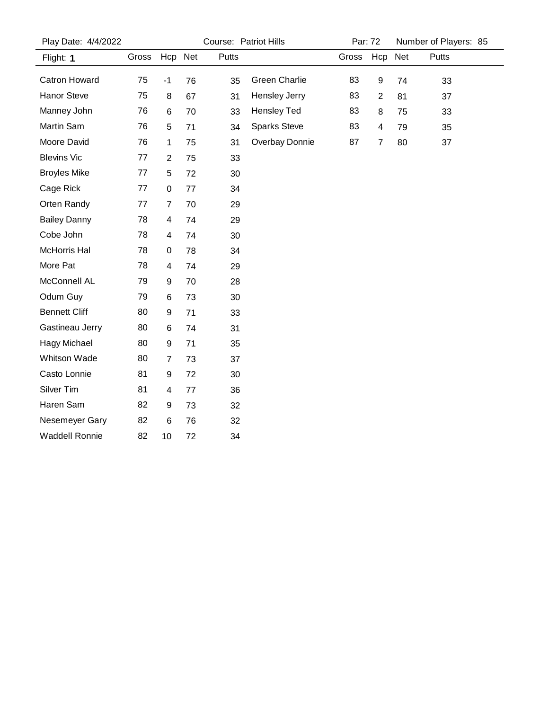| Play Date: 4/4/2022   |       | Course: Patriot Hills |    |              |                     | Par: 72 |                | Number of Players: 85 |       |
|-----------------------|-------|-----------------------|----|--------------|---------------------|---------|----------------|-----------------------|-------|
| Flight: 1             | Gross | Hcp Net               |    | <b>Putts</b> |                     | Gross   | Hcp Net        |                       | Putts |
| Catron Howard         | 75    | $-1$                  | 76 | 35           | Green Charlie       | 83      | 9              | 74                    | 33    |
| <b>Hanor Steve</b>    | 75    | 8                     | 67 | 31           | Hensley Jerry       | 83      | $\overline{2}$ | 81                    | 37    |
| Manney John           | 76    | 6                     | 70 | 33           | Hensley Ted         | 83      | 8              | 75                    | 33    |
| Martin Sam            | 76    | 5                     | 71 | 34           | <b>Sparks Steve</b> | 83      | 4              | 79                    | 35    |
| Moore David           | 76    | 1                     | 75 | 31           | Overbay Donnie      | 87      | $\overline{7}$ | 80                    | 37    |
| <b>Blevins Vic</b>    | 77    | $\overline{2}$        | 75 | 33           |                     |         |                |                       |       |
| <b>Broyles Mike</b>   | 77    | 5                     | 72 | 30           |                     |         |                |                       |       |
| Cage Rick             | 77    | 0                     | 77 | 34           |                     |         |                |                       |       |
| Orten Randy           | 77    | 7                     | 70 | 29           |                     |         |                |                       |       |
| <b>Bailey Danny</b>   | 78    | 4                     | 74 | 29           |                     |         |                |                       |       |
| Cobe John             | 78    | 4                     | 74 | 30           |                     |         |                |                       |       |
| McHorris Hal          | 78    | 0                     | 78 | 34           |                     |         |                |                       |       |
| More Pat              | 78    | 4                     | 74 | 29           |                     |         |                |                       |       |
| McConnell AL          | 79    | 9                     | 70 | 28           |                     |         |                |                       |       |
| Odum Guy              | 79    | 6                     | 73 | 30           |                     |         |                |                       |       |
| <b>Bennett Cliff</b>  | 80    | 9                     | 71 | 33           |                     |         |                |                       |       |
| Gastineau Jerry       | 80    | 6                     | 74 | 31           |                     |         |                |                       |       |
| Hagy Michael          | 80    | 9                     | 71 | 35           |                     |         |                |                       |       |
| Whitson Wade          | 80    | $\overline{7}$        | 73 | 37           |                     |         |                |                       |       |
| Casto Lonnie          | 81    | 9                     | 72 | 30           |                     |         |                |                       |       |
| Silver Tim            | 81    | 4                     | 77 | 36           |                     |         |                |                       |       |
| Haren Sam             | 82    | 9                     | 73 | 32           |                     |         |                |                       |       |
| Nesemeyer Gary        | 82    | 6                     | 76 | 32           |                     |         |                |                       |       |
| <b>Waddell Ronnie</b> | 82    | 10                    | 72 | 34           |                     |         |                |                       |       |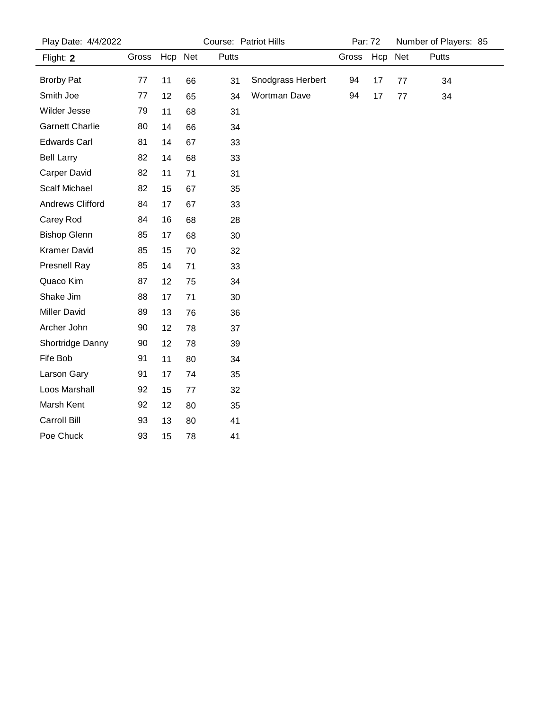| Play Date: 4/4/2022     |       |         |    | Course: Patriot Hills | Par: 72           |       |         | Number of Players: 85 |              |
|-------------------------|-------|---------|----|-----------------------|-------------------|-------|---------|-----------------------|--------------|
| Flight: 2               | Gross | Hcp Net |    | <b>Putts</b>          |                   | Gross | Hcp Net |                       | <b>Putts</b> |
| <b>Brorby Pat</b>       | 77    | 11      | 66 | 31                    | Snodgrass Herbert | 94    | 17      | 77                    | 34           |
| Smith Joe               | 77    | 12      | 65 | 34                    | Wortman Dave      | 94    | 17      | 77                    | 34           |
| Wilder Jesse            | 79    | 11      | 68 | 31                    |                   |       |         |                       |              |
| <b>Garnett Charlie</b>  | 80    | 14      | 66 | 34                    |                   |       |         |                       |              |
| <b>Edwards Carl</b>     | 81    | 14      | 67 | 33                    |                   |       |         |                       |              |
| <b>Bell Larry</b>       | 82    | 14      | 68 | 33                    |                   |       |         |                       |              |
| <b>Carper David</b>     | 82    | 11      | 71 | 31                    |                   |       |         |                       |              |
| <b>Scalf Michael</b>    | 82    | 15      | 67 | 35                    |                   |       |         |                       |              |
| <b>Andrews Clifford</b> | 84    | 17      | 67 | 33                    |                   |       |         |                       |              |
| Carey Rod               | 84    | 16      | 68 | 28                    |                   |       |         |                       |              |
| <b>Bishop Glenn</b>     | 85    | 17      | 68 | 30                    |                   |       |         |                       |              |
| Kramer David            | 85    | 15      | 70 | 32                    |                   |       |         |                       |              |
| <b>Presnell Ray</b>     | 85    | 14      | 71 | 33                    |                   |       |         |                       |              |
| Quaco Kim               | 87    | 12      | 75 | 34                    |                   |       |         |                       |              |
| Shake Jim               | 88    | 17      | 71 | 30                    |                   |       |         |                       |              |
| <b>Miller David</b>     | 89    | 13      | 76 | 36                    |                   |       |         |                       |              |
| Archer John             | 90    | 12      | 78 | 37                    |                   |       |         |                       |              |
| Shortridge Danny        | 90    | 12      | 78 | 39                    |                   |       |         |                       |              |
| Fife Bob                | 91    | 11      | 80 | 34                    |                   |       |         |                       |              |
| Larson Gary             | 91    | 17      | 74 | 35                    |                   |       |         |                       |              |
| Loos Marshall           | 92    | 15      | 77 | 32                    |                   |       |         |                       |              |
| Marsh Kent              | 92    | 12      | 80 | 35                    |                   |       |         |                       |              |
| Carroll Bill            | 93    | 13      | 80 | 41                    |                   |       |         |                       |              |
| Poe Chuck               | 93    | 15      | 78 | 41                    |                   |       |         |                       |              |